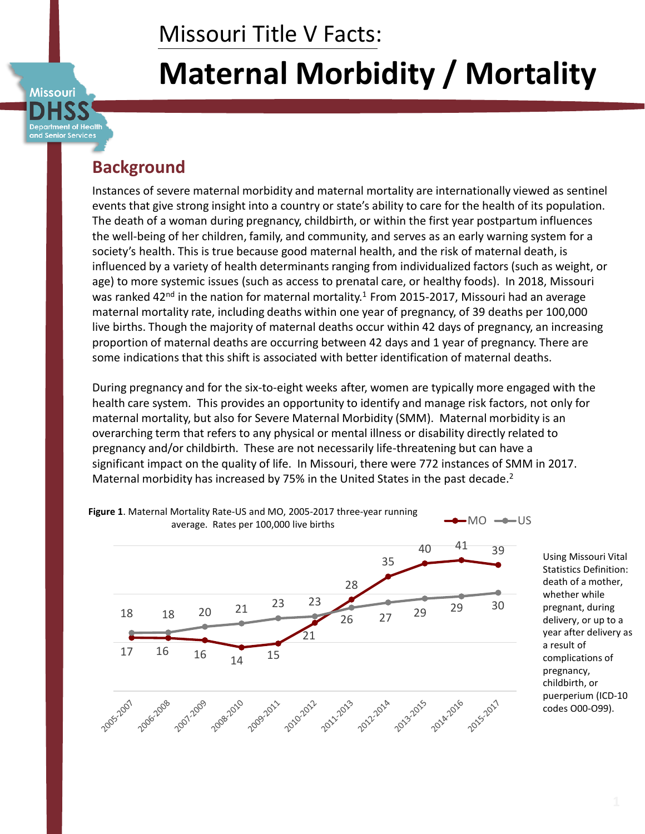# Missouri Title V Facts:

# **Maternal Morbidity / Mortality**

artment of Health and Senior Services

**Missouri** 

# **Background**

Instances of severe maternal morbidity and maternal mortality are internationally viewed as sentinel events that give strong insight into a country or state's ability to care for the health of its population. The death of a woman during pregnancy, childbirth, or within the first year postpartum influences the well-being of her children, family, and community, and serves as an early warning system for a society's health. This is true because good maternal health, and the risk of maternal death, is influenced by a variety of health determinants ranging from individualized factors (such as weight, or age) to more systemic issues (such as access to prenatal care, or healthy foods). In 2018, Missouri was ranked 42<sup>nd</sup> in the nation for maternal mortality.<sup>1</sup> From 2015-2017, Missouri had an average maternal mortality rate, including deaths within one year of pregnancy, of 39 deaths per 100,000 live births. Though the majority of maternal deaths occur within 42 days of pregnancy, an increasing proportion of maternal deaths are occurring between 42 days and 1 year of pregnancy. There are some indications that this shift is associated with better identification of maternal deaths.

During pregnancy and for the six-to-eight weeks after, women are typically more engaged with the health care system. This provides an opportunity to identify and manage risk factors, not only for maternal mortality, but also for Severe Maternal Morbidity (SMM). Maternal morbidity is an overarching term that refers to any physical or mental illness or disability directly related to pregnancy and/or childbirth. These are not necessarily life-threatening but can have a significant impact on the quality of life. In Missouri, there were 772 instances of SMM in 2017. Maternal morbidity has increased by 75% in the United States in the past decade.<sup>2</sup>



Using Missouri Vital Statistics Definition: death of a mother, whether while pregnant, during delivery, or up to a year after delivery as a result of complications of pregnancy, childbirth, or puerperium (ICD-10 codes O00-O99).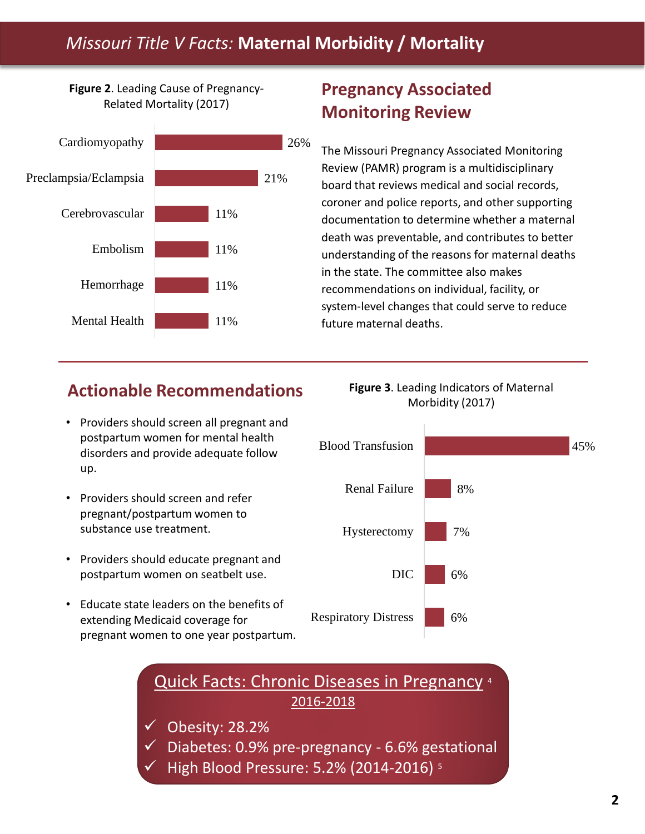# *Missouri Title V Facts:* **Maternal Morbidity / Mortality**

**Figure 2**. Leading Cause of Pregnancy-Related Mortality (2017)



# **Pregnancy Associated Monitoring Review**

The Missouri Pregnancy Associated Monitoring Review (PAMR) program is a multidisciplinary board that reviews medical and social records, coroner and police reports, and other supporting documentation to determine whether a maternal death was preventable, and contributes to better understanding of the reasons for maternal deaths in the state. The committee also makes recommendations on individual, facility, or system-level changes that could serve to reduce 11% future maternal deaths.

### **Actionable Recommendations**

- Providers should screen all pregnant and postpartum women for mental health disorders and provide adequate follow up.
- Providers should screen and refer pregnant/postpartum women to substance use treatment.
- Providers should educate pregnant and postpartum women on seatbelt use.
- Educate state leaders on the benefits of extending Medicaid coverage for pregnant women to one year postpartum.





Quick Facts: Chronic Diseases in Pregnancy <sup>4</sup> 2016-2018

- $\checkmark$  Obesity: 28.2%
- Diabetes: 0.9% pre-pregnancy 6.6% gestational
- High Blood Pressure: 5.2% (2014-2016) <sup>5</sup>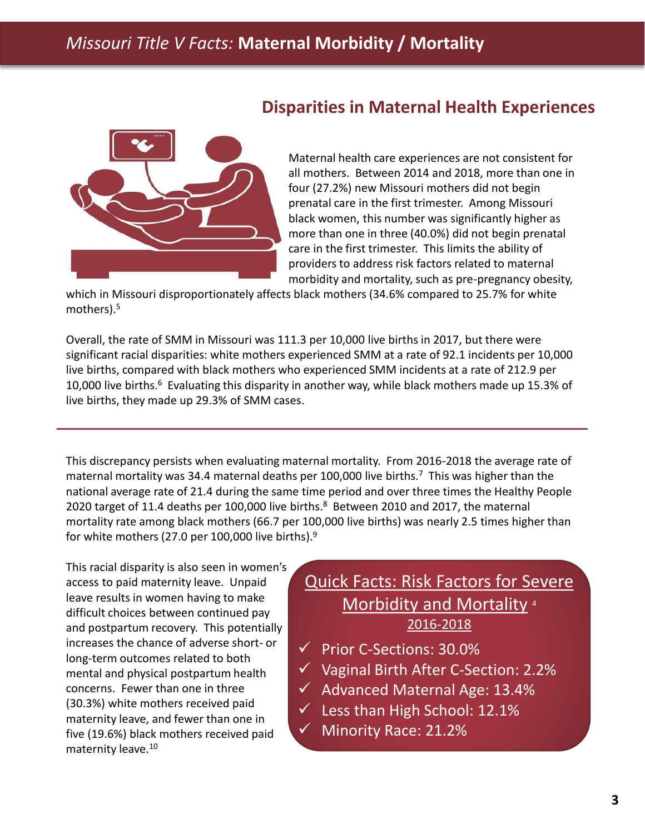

#### **Disparities in Maternal Health Experiences**

Maternal health care experiences are not consistent for all mothers. Between 2014 and 2018, more than one in four (27.2%) new Missouri mothers did not begin prenatal care in the first trimester. Among Missouri black women, this number was significantly higher as more than one in three (40.0%) did not begin prenatal care in the first trimester. This limits the ability of providers to address risk factors related to maternal morbidity and mortality, such as pre-pregnancy obesity,

which in Missouri disproportionately affects black mothers (34.6% compared to 25.7% for white mothers).<sup>5</sup>

Overall, the rate of SMM in Missouri was 111.3 per 10,000 live births in 2017, but there were significant racial disparities: white mothers experienced SMM at a rate of 92.1 incidents per 10,000 live births, compared with black mothers who experienced SMM incidents at a rate of 212.9 per 10,000 live births.<sup>6</sup> Evaluating this disparity in another way, while black mothers made up 15.3% of live births, they made up 29.3% of SMM cases.

This discrepancy persists when evaluating maternal mortality. From 2016-2018 the average rate of maternal mortality was 34.4 maternal deaths per 100,000 live births.<sup>7</sup> This was higher than the national average rate of 21.4 during the same time period and over three times the Healthy People 2020 target of 11.4 deaths per 100,000 live births.<sup>8</sup> Between 2010 and 2017, the maternal mortality rate among black mothers (66.7 per 100,000 live births) was nearly 2.5 times higher than for white mothers (27.0 per 100,000 live births). $9$ 

This racial disparity is also seen in women's access to paid maternity leave. Unpaid leave results in women having to make difficult choices between continued pay and postpartum recovery. This potentially increases the chance of adverse short- or long-term outcomes related to both mental and physical postpartum health concerns. Fewer than one in three (30.3%) white mothers received paid maternity leave, and fewer than one in five (19.6%) black mothers received paid maternity leave.<sup>10</sup>

#### Quick Facts: Risk Factors for Severe Morbidity and Mortality<sup>4</sup> 2016-2018

- $\checkmark$  Prior C-Sections: 30.0%
- $\checkmark$  Vaginal Birth After C-Section: 2.2%
- $\checkmark$  Advanced Maternal Age: 13.4%
- $\checkmark$  Less than High School: 12.1%
- Minority Race: 21.2%